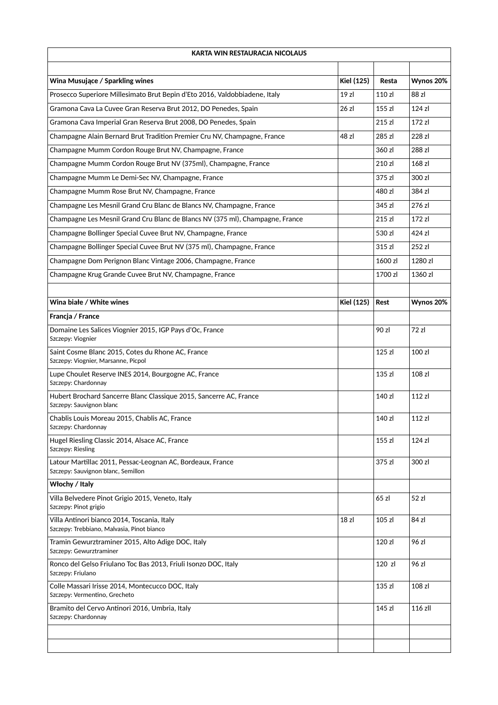| <b>KARTA WIN RESTAURACJA NICOLAUS</b>                                                            |                   |         |           |
|--------------------------------------------------------------------------------------------------|-------------------|---------|-----------|
|                                                                                                  |                   |         |           |
| Wina Musujące / Sparkling wines                                                                  | <b>Kiel (125)</b> | Resta   | Wynos 20% |
| Prosecco Superiore Millesimato Brut Bepin d'Eto 2016, Valdobbiadene, Italy                       | 19z               | 110 zl  | 88 zl     |
| Gramona Cava La Cuvee Gran Reserva Brut 2012, DO Penedes, Spain                                  | 26 zl             | 155 zl  | 124 z     |
| Gramona Cava Imperial Gran Reserva Brut 2008, DO Penedes, Spain                                  |                   | 215 zl  | 172 z1    |
| Champagne Alain Bernard Brut Tradition Premier Cru NV, Champagne, France                         | 48 zl             | 285 zl  | 228 zl    |
| Champagne Mumm Cordon Rouge Brut NV, Champagne, France                                           |                   | 360 zl  | 288 zl    |
| Champagne Mumm Cordon Rouge Brut NV (375ml), Champagne, France                                   |                   | 210 zl  | 168 zl    |
| Champagne Mumm Le Demi-Sec NV, Champagne, France                                                 |                   | 375 zl  | 300 zl    |
| Champagne Mumm Rose Brut NV, Champagne, France                                                   |                   | 480 zl  | 384 zl    |
| Champagne Les Mesnil Grand Cru Blanc de Blancs NV, Champagne, France                             |                   | 345 zl  | 276 zl    |
| Champagne Les Mesnil Grand Cru Blanc de Blancs NV (375 ml), Champagne, France                    |                   | 215 zl  | 172 z1    |
| Champagne Bollinger Special Cuvee Brut NV, Champagne, France                                     |                   | 530 zl  | 424 zl    |
| Champagne Bollinger Special Cuvee Brut NV (375 ml), Champagne, France                            |                   | 315 zl  | 252 zl    |
| Champagne Dom Perignon Blanc Vintage 2006, Champagne, France                                     |                   | 1600 zl | 1280 zl   |
| Champagne Krug Grande Cuvee Brut NV, Champagne, France                                           |                   | 1700 zl | 1360 zl   |
|                                                                                                  |                   |         |           |
| Wina białe / White wines                                                                         | <b>Kiel (125)</b> | Rest    | Wynos 20% |
| Francja / France                                                                                 |                   |         |           |
| Domaine Les Salices Viognier 2015, IGP Pays d'Oc, France<br>Szczepy: Viognier                    |                   | 90 zl   | 72 zl     |
| Saint Cosme Blanc 2015, Cotes du Rhone AC, France<br>Szczepy: Viognier, Marsanne, Picpol         |                   | 125 zI  | 100 zl    |
| Lupe Choulet Reserve INES 2014, Bourgogne AC, France<br>Szczepy: Chardonnay                      |                   | 135 zl  | 108 zI    |
| Hubert Brochard Sancerre Blanc Classique 2015, Sancerre AC, France<br>Szczepy: Sauvignon blanc   |                   | 140 zl  | 112 zI    |
| Chablis Louis Moreau 2015, Chablis AC, France<br>Szczepy: Chardonnay                             |                   | 140 zl  | 112 zl    |
| Hugel Riesling Classic 2014, Alsace AC, France<br>Szczepy: Riesling                              |                   | 155 zl  | 124 z     |
| Latour Martillac 2011, Pessac-Leognan AC, Bordeaux, France<br>Szczepy: Sauvignon blanc, Semillon |                   | 375 zl  | 300 zl    |
| Włochy / Italy                                                                                   |                   |         |           |
| Villa Belvedere Pinot Grigio 2015, Veneto, Italy<br>Szczepy: Pinot grigio                        |                   | 65 zl   | 52 zl     |
| Villa Antinori bianco 2014, Toscania, Italy<br>Szczepy: Trebbiano, Malvasia, Pinot bianco        | 18z               | 105 zl  | 84 zl     |
| Tramin Gewurztraminer 2015, Alto Adige DOC, Italy<br>Szczepy: Gewurztraminer                     |                   | 120 zl  | 96 zl     |
| Ronco del Gelso Friulano Toc Bas 2013, Friuli Isonzo DOC, Italy<br>Szczepy: Friulano             |                   | 120 zl  | 96 zl     |
| Colle Massari Irisse 2014, Montecucco DOC, Italy<br>Szczepy: Vermentino, Grecheto                |                   | 135 zl  | 108 zl    |
| Bramito del Cervo Antinori 2016, Umbria, Italy<br>Szczepy: Chardonnay                            |                   | 145 zl  | 116 zll   |
|                                                                                                  |                   |         |           |
|                                                                                                  |                   |         |           |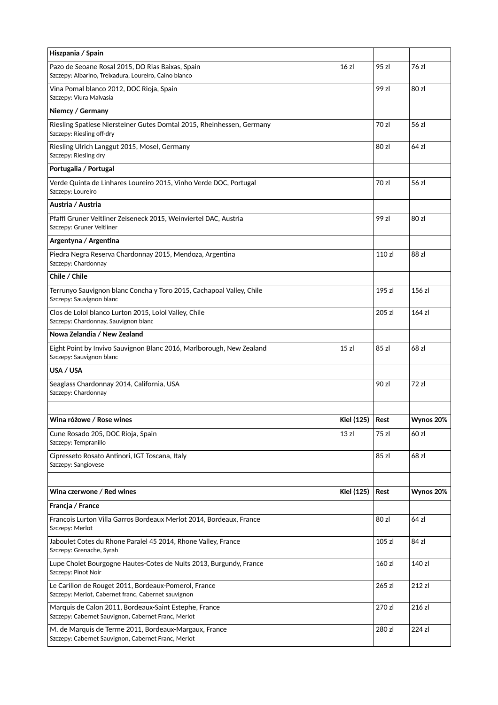| Hiszpania / Spain                                                                                            |                   |        |           |
|--------------------------------------------------------------------------------------------------------------|-------------------|--------|-----------|
| Pazo de Seoane Rosal 2015, DO Rias Baixas, Spain<br>Szczepy: Albarino, Treixadura, Loureiro, Caino blanco    | 16 zl             | 95 zl  | 76 zl     |
| Vina Pomal blanco 2012, DOC Rioja, Spain<br>Szczepy: Viura Malvasia                                          |                   | 99 zl  | 80 zl     |
| Niemcy / Germany                                                                                             |                   |        |           |
| Riesling Spatlese Niersteiner Gutes Domtal 2015, Rheinhessen, Germany<br>Szczepy: Riesling off-dry           |                   | 70 zl  | 56 zl     |
| Riesling Ulrich Langgut 2015, Mosel, Germany<br>Szczepy: Riesling dry                                        |                   | 80 zl  | 64 zl     |
| Portugalia / Portugal                                                                                        |                   |        |           |
| Verde Quinta de Linhares Loureiro 2015, Vinho Verde DOC, Portugal<br>Szczepy: Loureiro                       |                   | 70 zl  | 56 zl     |
| Austria / Austria                                                                                            |                   |        |           |
| Pfaffl Gruner Veltliner Zeiseneck 2015, Weinviertel DAC, Austria<br>Szczepy: Gruner Veltliner                |                   | 99 zl  | 80 zl     |
| Argentyna / Argentina                                                                                        |                   |        |           |
| Piedra Negra Reserva Chardonnay 2015, Mendoza, Argentina<br>Szczepy: Chardonnay                              |                   | 110 zl | 88 zl     |
| Chile / Chile                                                                                                |                   |        |           |
| Terrunyo Sauvignon blanc Concha y Toro 2015, Cachapoal Valley, Chile<br>Szczepy: Sauvignon blanc             |                   | 195 zl | 156 zl    |
| Clos de Lolol blanco Lurton 2015, Lolol Valley, Chile<br>Szczepy: Chardonnay, Sauvignon blanc                |                   | 205 zl | 164 z1    |
| Nowa Zelandia / New Zealand                                                                                  |                   |        |           |
| Eight Point by Invivo Sauvignon Blanc 2016, Marlborough, New Zealand<br>Szczepy: Sauvignon blanc             | 15 z <sub>l</sub> | 85 zl  | 68 zl     |
| USA / USA                                                                                                    |                   |        |           |
| Seaglass Chardonnay 2014, California, USA<br>Szczepy: Chardonnay                                             |                   | 90 zl  | 72 zl     |
|                                                                                                              |                   |        |           |
| Wina różowe / Rose wines                                                                                     | <b>Kiel (125)</b> | Rest   | Wynos 20% |
| Cune Rosado 205, DOC Rioja, Spain<br>Szczepy: Tempranillo                                                    | 13 zl             | 75 zl  | 60 zl     |
| Cipresseto Rosato Antinori, IGT Toscana, Italy<br>Szczepy: Sangiovese                                        |                   | 85 zl  | 68 zl     |
| Wina czerwone / Red wines                                                                                    | <b>Kiel (125)</b> | Rest   | Wynos 20% |
| Francja / France                                                                                             |                   |        |           |
| Francois Lurton Villa Garros Bordeaux Merlot 2014, Bordeaux, France<br>Szczepy: Merlot                       |                   | 80 zl  | 64 zl     |
| Jaboulet Cotes du Rhone Paralel 45 2014, Rhone Valley, France<br>Szczepy: Grenache, Syrah                    |                   | 105 zl | 84 zl     |
| Lupe Cholet Bourgogne Hautes-Cotes de Nuits 2013, Burgundy, France<br>Szczepy: Pinot Noir                    |                   | 160 zl | 140 zl    |
| Le Carillon de Rouget 2011, Bordeaux-Pomerol, France<br>Szczepy: Merlot, Cabernet franc, Cabernet sauvignon  |                   | 265 zl | 212 zl    |
| Marquis de Calon 2011, Bordeaux-Saint Estephe, France<br>Szczepy: Cabernet Sauvignon, Cabernet Franc, Merlot |                   | 270 zl | 216 zl    |
| M. de Marquis de Terme 2011, Bordeaux-Margaux, France<br>Szczepy: Cabernet Sauvignon, Cabernet Franc, Merlot |                   | 280 zl | 224 zl    |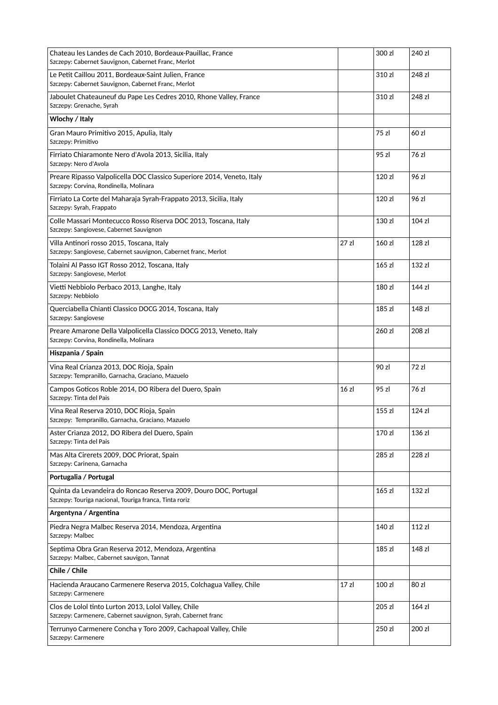| Chateau les Landes de Cach 2010, Bordeaux-Pauillac, France<br>Szczepy: Cabernet Sauvignon, Cabernet Franc, Merlot          |                   | 300 zl | 240 zl |
|----------------------------------------------------------------------------------------------------------------------------|-------------------|--------|--------|
| Le Petit Caillou 2011, Bordeaux-Saint Julien, France<br>Szczepy: Cabernet Sauvignon, Cabernet Franc, Merlot                |                   | 310 zl | 248 zl |
| Jaboulet Chateauneuf du Pape Les Cedres 2010, Rhone Valley, France<br>Szczepy: Grenache, Syrah                             |                   | 310 zl | 248 zl |
| Wlochy / Italy                                                                                                             |                   |        |        |
| Gran Mauro Primitivo 2015, Apulia, Italy<br>Szczepy: Primitivo                                                             |                   | 75 zl  | 60 zl  |
| Firriato Chiaramonte Nero d'Avola 2013, Sicilia, Italy<br>Szczepy: Nero d'Avola                                            |                   | 95 zl  | 76 zl  |
| Preare Ripasso Valpolicella DOC Classico Superiore 2014, Veneto, Italy<br>Szczepy: Corvina, Rondinella, Molinara           |                   | 120 zl | 96 zl  |
| Firriato La Corte del Maharaja Syrah-Frappato 2013, Sicilia, Italy<br>Szczepy: Syrah, Frappato                             |                   | 120 zl | 96 zl  |
| Colle Massari Montecucco Rosso Riserva DOC 2013, Toscana, Italy<br>Szczepy: Sangiovese, Cabernet Sauvignon                 |                   | 130 zl | 104 zI |
| Villa Antinori rosso 2015, Toscana, Italy<br>Szczepy: Sangiovese, Cabernet sauvignon, Cabernet franc, Merlot               | 27 zl             | 160 zl | 128 zI |
| Tolaini Al Passo IGT Rosso 2012, Toscana, Italy<br>Szczepy: Sangiovese, Merlot                                             |                   | 165 zl | 132 zl |
| Vietti Nebbiolo Perbaco 2013, Langhe, Italy<br>Szczepy: Nebbiolo                                                           |                   | 180 zl | 144 zl |
| Querciabella Chianti Classico DOCG 2014, Toscana, Italy<br>Szczepy: Sangiovese                                             |                   | 185 zl | 148 zl |
| Preare Amarone Della Valpolicella Classico DOCG 2013, Veneto, Italy<br>Szczepy: Corvina, Rondinella, Molinara              |                   | 260 zl | 208 zl |
| Hiszpania / Spain                                                                                                          |                   |        |        |
|                                                                                                                            |                   |        |        |
| Vina Real Crianza 2013, DOC Rioja, Spain<br>Szczepy: Tempranillo, Garnacha, Graciano, Mazuelo                              |                   | 90 zl  | 72 zl  |
| Campos Goticos Roble 2014, DO Ribera del Duero, Spain<br>Szczepy: Tinta del Pais                                           | 16 zl             | 95 zl  | 76 zl  |
| Vina Real Reserva 2010, DOC Rioja, Spain<br>Szczepy: Tempranillo, Garnacha, Graciano, Mazuelo                              |                   | 155 zl | 124 z  |
| Aster Crianza 2012, DO Ribera del Duero, Spain<br>Szczepy: Tinta del Pais                                                  |                   | 170 zl | 136 zl |
| Mas Alta Cirerets 2009, DOC Priorat, Spain<br>Szczepy: Carinena, Garnacha                                                  |                   | 285 zl | 228 zl |
| Portugalia / Portugal                                                                                                      |                   |        |        |
| Quinta da Levandeira do Roncao Reserva 2009, Douro DOC, Portugal<br>Szczepy: Touriga nacional, Touriga franca, Tinta roriz |                   | 165 zl | 132 zl |
| Argentyna / Argentina                                                                                                      |                   |        |        |
| Piedra Negra Malbec Reserva 2014, Mendoza, Argentina<br>Szczepy: Malbec                                                    |                   | 140 zl | 112 zl |
| Septima Obra Gran Reserva 2012, Mendoza, Argentina<br>Szczepy: Malbec, Cabernet sauvigon, Tannat                           |                   | 185 zl | 148 zl |
| Chile / Chile                                                                                                              |                   |        |        |
| Hacienda Araucano Carmenere Reserva 2015, Colchagua Valley, Chile<br>Szczepy: Carmenere                                    | 17 z <sub>l</sub> | 100 zl | 80 zl  |
| Clos de Lolol tinto Lurton 2013, Lolol Valley, Chile<br>Szczepy: Carmenere, Cabernet sauvignon, Syrah, Cabernet franc      |                   | 205 zl | 164 zl |